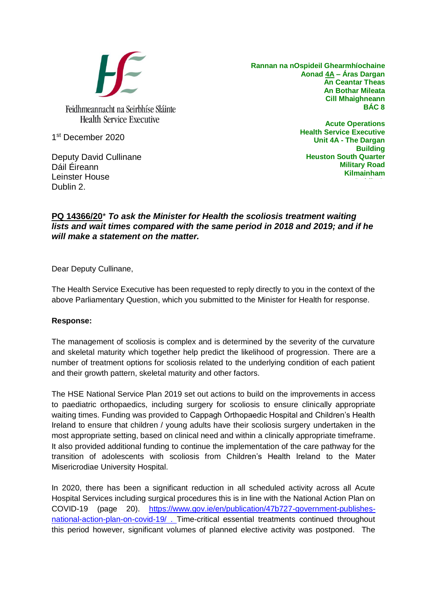

**Rannan na nOspideil Ghearmhíochaine Aonad 4A – Áras Dargan An Ceantar Theas An Bothar Mileata Cill Mhaighneann BÁC 8**

1 st December 2020

Deputy David Cullinane Dáil Éireann Leinster House Dublin 2.

**Acute Operations Health Service Executive Unit 4A - The Dargan Building Heuston South Quarter Military Road Kilmainham Dublin 8.**

## **PQ 14366/20**\* *To ask the Minister for Health the scoliosis treatment waiting lists and wait times compared with the same period in 2018 and 2019; and if he will make a statement on the matter.*

Dear Deputy Cullinane,

The Health Service Executive has been requested to reply directly to you in the context of the above Parliamentary Question, which you submitted to the Minister for Health for response.

## **Response:**

The management of scoliosis is complex and is determined by the severity of the curvature and skeletal maturity which together help predict the likelihood of progression. There are a number of treatment options for scoliosis related to the underlying condition of each patient and their growth pattern, skeletal maturity and other factors.

The HSE National Service Plan 2019 set out actions to build on the improvements in access to paediatric orthopaedics, including surgery for scoliosis to ensure clinically appropriate waiting times. Funding was provided to Cappagh Orthopaedic Hospital and Children's Health Ireland to ensure that children / young adults have their scoliosis surgery undertaken in the most appropriate setting, based on clinical need and within a clinically appropriate timeframe. It also provided additional funding to continue the implementation of the care pathway for the transition of adolescents with scoliosis from Children's Health Ireland to the Mater Misericrodiae University Hospital.

In 2020, there has been a significant reduction in all scheduled activity across all Acute Hospital Services including surgical procedures this is in line with the National Action Plan on COVID-19 (page 20). [https://www.gov.ie/en/publication/47b727-government-publishes](https://www.gov.ie/en/publication/47b727-government-publishes-national-action-plan-on-covid-19/)[national-action-plan-on-covid-19/](https://www.gov.ie/en/publication/47b727-government-publishes-national-action-plan-on-covid-19/) . Time-critical essential treatments continued throughout this period however, significant volumes of planned elective activity was postponed. The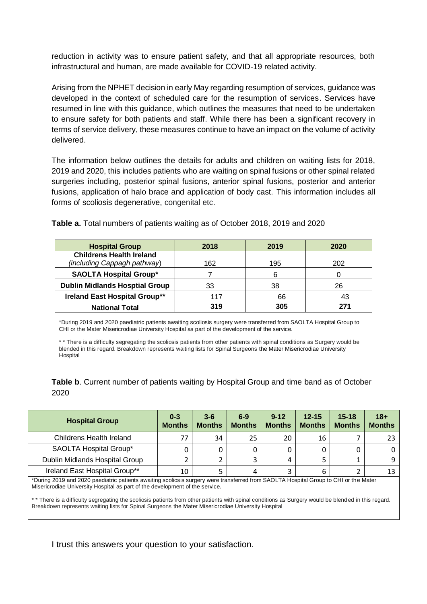reduction in activity was to ensure patient safety, and that all appropriate resources, both infrastructural and human, are made available for COVID-19 related activity.

Arising from the NPHET decision in early May regarding resumption of services, guidance was developed in the context of scheduled care for the resumption of services. Services have resumed in line with this guidance, which outlines the measures that need to be undertaken to ensure safety for both patients and staff. While there has been a significant recovery in terms of service delivery, these measures continue to have an impact on the volume of activity delivered.

The information below outlines the details for adults and children on waiting lists for 2018, 2019 and 2020, this includes patients who are waiting on spinal fusions or other spinal related surgeries including, posterior spinal fusions, anterior spinal fusions, posterior and anterior fusions, application of halo brace and application of body cast. This information includes all forms of scoliosis degenerative, congenital etc.

| <b>Hospital Group</b>                                          | 2018 | 2019 | 2020 |
|----------------------------------------------------------------|------|------|------|
| <b>Childrens Health Ireland</b><br>(including Cappagh pathway) | 162  | 195  | 202  |
| <b>SAOLTA Hospital Group*</b>                                  |      | 6    |      |
| <b>Dublin Midlands Hosptial Group</b>                          | 33   | 38   | 26   |
| <b>Ireland East Hospital Group**</b>                           | 117  | 66   | 43   |
| <b>National Total</b>                                          | 319  | 305  | 271  |

**Table a.** Total numbers of patients waiting as of October 2018, 2019 and 2020

\*During 2019 and 2020 paediatric patients awaiting scoliosis surgery were transferred from SAOLTA Hospital Group to CHI or the Mater Misericrodiae University Hospital as part of the development of the service.

\* \* There is a difficulty segregating the scoliosis patients from other patients with spinal conditions as Surgery would be blended in this regard. Breakdown represents waiting lists for Spinal Surgeons the Mater Misericrodiae University **Hospital** 

**Table b**. Current number of patients waiting by Hospital Group and time band as of October 2020

| <b>Hospital Group</b>          | $0 - 3$<br><b>Months</b> | $3-6$<br><b>Months</b> | $6-9$<br><b>Months</b> | $9 - 12$<br><b>Months</b> | $12 - 15$<br><b>Months</b> | $15 - 18$<br><b>Months</b> | $18+$<br><b>Months</b> |
|--------------------------------|--------------------------|------------------------|------------------------|---------------------------|----------------------------|----------------------------|------------------------|
| Childrens Health Ireland       | 77                       | 34                     | 25                     | 20                        | 16                         |                            | 23                     |
| SAOLTA Hospital Group*         |                          |                        |                        |                           |                            |                            |                        |
| Dublin Midlands Hospital Group |                          |                        |                        |                           |                            |                            | 9                      |
| Ireland East Hospital Group**  | 10                       |                        | 4                      |                           | 6                          |                            | 13                     |

\*During 2019 and 2020 paediatric patients awaiting scoliosis surgery were transferred from SAOLTA Hospital Group to CHI or the Mater Misericrodiae University Hospital as part of the development of the service.

\* \* There is a difficulty segregating the scoliosis patients from other patients with spinal conditions as Surgery would be blended in this regard. Breakdown represents waiting lists for Spinal Surgeons the Mater Misericrodiae University Hospital

I trust this answers your question to your satisfaction.